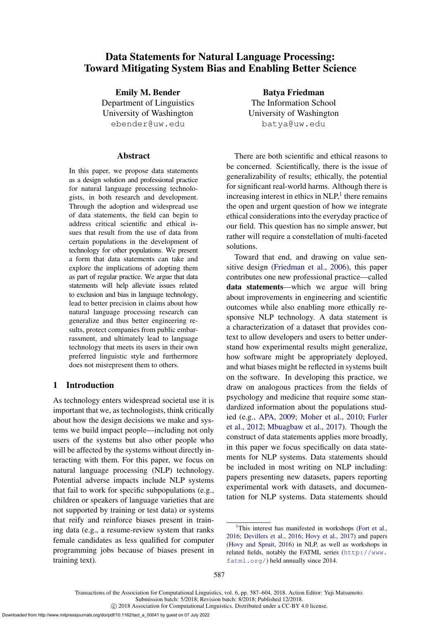# <span id="page-0-1"></span>Data Statements for Natural Language Processing: Toward Mitigating System Bias and Enabling Better Science

Emily M. Bender Department of Linguistics University of Washington ebender@uw.edu

#### Abstract

In this paper, we propose data statements as a design solution and professional practice for natural language processing technologists, in both research and development. Through the adoption and widespread use of data statements, the field can begin to address critical scientific and ethical issues that result from the use of data from certain populations in the development of technology for other populations. We present a form that data statements can take and explore the implications of adopting them as part of regular practice. We argue that data statements will help alleviate issues related to exclusion and bias in language technology, lead to better precision in claims about how natural language processing research can generalize and thus better engineering results, protect companies from public embarrassment, and ultimately lead to language technology that meets its users in their own preferred linguistic style and furthermore does not misrepresent them to others.

# 1 Introduction

As technology enters widespread societal use it is important that we, as technologists, think critically about how the design decisions we make and systems we build impact people—including not only users of the systems but also other people who will be affected by the systems without directly interacting with them. For this paper, we focus on natural language processing (NLP) technology. Potential adverse impacts include NLP systems that fail to work for specific subpopulations (e.g., children or speakers of language varieties that are not supported by training or test data) or systems that reify and reinforce biases present in training data (e.g., a resume-review system that ranks female candidates as less qualified for computer programming jobs because of biases present in training text).

Batya Friedman The Information School University of Washington batya@uw.edu

There are both scientific and ethical reasons to be concerned. Scientifically, there is the issue of generalizability of results; ethically, the potential for significant real-world harms. Although there is increasing interest in ethics in  $NLP<sup>1</sup>$  $NLP<sup>1</sup>$  $NLP<sup>1</sup>$ , there remains the open and urgent question of how we integrate ethical considerations into the everyday practice of our field. This question has no simple answer, but rather will require a constellation of multi-faceted solutions.

Toward that end, and drawing on value sensitive design [\(Friedman et al.,](#page-14-0) [2006\)](#page-14-0), this paper contributes one new professional practice—called data statements—which we argue will bring about improvements in engineering and scientific outcomes while also enabling more ethically responsive NLP technology. A data statement is a characterization of a dataset that provides context to allow developers and users to better understand how experimental results might generalize, how software might be appropriately deployed, and what biases might be reflected in systems built on the software. In developing this practice, we draw on analogous practices from the fields of psychology and medicine that require some standardized information about the populations studied (e.g., APA, 2009; [Moher et al.,](#page-16-0) [2010;](#page-16-0) [Furler](#page-15-0) [et al.,](#page-15-0) [2012;](#page-15-0) [Mbuagbaw et al.,](#page-16-1) [2017\)](#page-16-1). Though the construct of data statements applies more broadly, in this paper we focus specifically on data statements for NLP systems. Data statements should be included in most writing on NLP including: papers presenting new datasets, papers reporting experimental work with datasets, and documentation for NLP systems. Data statements should

Transactions of the Association for Computational Linguistics, vol. 6, pp. 587–604, 2018. Action Editor: Yuji Matsumoto. Submission batch: 5/2018; Revision batch: 8/2018; Published 12/2018.

c 2018 Association for Computational Linguistics. Distributed under a CC-BY 4.0 license.

<span id="page-0-0"></span><sup>&</sup>lt;sup>1</sup>This interest has manifested in workshops [\(Fort et al.,](#page-14-1) [2016;](#page-14-1) [Devillers et al.,](#page-14-2) [2016;](#page-14-2) [Hovy et al.,](#page-15-1) [2017\)](#page-15-1) and papers [\(Hovy and Spruit,](#page-15-2) [2016\)](#page-15-2) in NLP, as well as workshops in related fields, notably the FATML series ([http://www.](http://www.fatml.org/) [fatml.org/](http://www.fatml.org/)) held annually since 2014.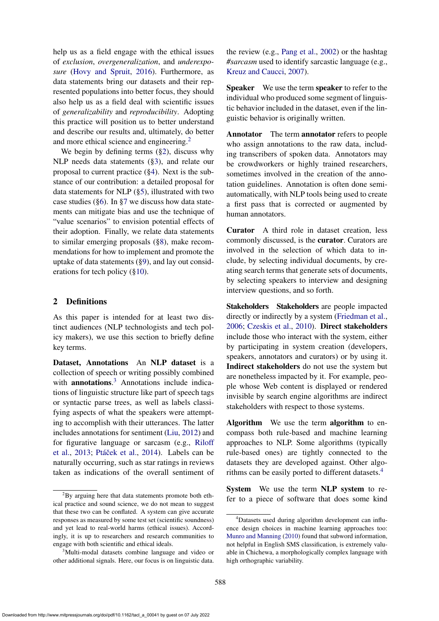help us as a field engage with the ethical issues of *exclusion*, *overgeneralization*, and *underexposure* [\(Hovy and Spruit,](#page-15-2) [2016\)](#page-15-2). Furthermore, as data statements bring our datasets and their represented populations into better focus, they should also help us as a field deal with scientific issues of *generalizability* and *reproducibility*. Adopting this practice will position us to better understand and describe our results and, ultimately, do better and more ethical science and engineering.[2](#page-1-0)

We begin by defining terms ([§2\)](#page-1-1), discuss why NLP needs data statements ([§3\)](#page-2-0), and relate our proposal to current practice ([§4\)](#page-2-1). Next is the substance of our contribution: a detailed proposal for data statements for NLP ([§5\)](#page-3-0), illustrated with two case studies ([§6\)](#page-4-0). In [§7](#page-7-0) we discuss how data statements can mitigate bias and use the technique of "value scenarios" to envision potential effects of their adoption. Finally, we relate data statements to similar emerging proposals ([§8\)](#page-10-0), make recommendations for how to implement and promote the uptake of data statements ([§9\)](#page-11-0), and lay out considerations for tech policy ([§10\)](#page-12-0).

# <span id="page-1-1"></span>2 Definitions

As this paper is intended for at least two distinct audiences (NLP technologists and tech policy makers), we use this section to briefly define key terms.

Dataset, Annotations An NLP dataset is a collection of speech or writing possibly combined with **annotations**.<sup>[3](#page-1-2)</sup> Annotations include indications of linguistic structure like part of speech tags or syntactic parse trees, as well as labels classifying aspects of what the speakers were attempting to accomplish with their utterances. The latter includes annotations for sentiment [\(Liu,](#page-15-3) [2012\)](#page-15-3) and for figurative language or sarcasm (e.g., [Riloff](#page-16-2) [et al.,](#page-16-2) [2013;](#page-16-2) Ptáček et al., [2014\)](#page-16-3). Labels can be naturally occurring, such as star ratings in reviews taken as indications of the overall sentiment of

the review (e.g., [Pang et al.,](#page-16-4) [2002\)](#page-16-4) or the hashtag *#sarcasm* used to identify sarcastic language (e.g., [Kreuz and Caucci,](#page-15-4) [2007\)](#page-15-4).

Speaker We use the term speaker to refer to the individual who produced some segment of linguistic behavior included in the dataset, even if the linguistic behavior is originally written.

Annotator The term annotator refers to people who assign annotations to the raw data, including transcribers of spoken data. Annotators may be crowdworkers or highly trained researchers, sometimes involved in the creation of the annotation guidelines. Annotation is often done semiautomatically, with NLP tools being used to create a first pass that is corrected or augmented by human annotators.

Curator A third role in dataset creation, less commonly discussed, is the curator. Curators are involved in the selection of which data to include, by selecting individual documents, by creating search terms that generate sets of documents, by selecting speakers to interview and designing interview questions, and so forth.

Stakeholders Stakeholders are people impacted directly or indirectly by a system [\(Friedman et al.,](#page-14-0) [2006;](#page-14-0) [Czeskis et al.,](#page-14-3) [2010\)](#page-14-3). Direct stakeholders include those who interact with the system, either by participating in system creation (developers, speakers, annotators and curators) or by using it. Indirect stakeholders do not use the system but are nonetheless impacted by it. For example, people whose Web content is displayed or rendered invisible by search engine algorithms are indirect stakeholders with respect to those systems.

Algorithm We use the term algorithm to encompass both rule-based and machine learning approaches to NLP. Some algorithms (typically rule-based ones) are tightly connected to the datasets they are developed against. Other algorithms can be easily ported to different datasets.[4](#page-1-3)

System We use the term NLP system to refer to a piece of software that does some kind

<span id="page-1-0"></span> ${}^{2}$ By arguing here that data statements promote both ethical practice and sound science, we do not mean to suggest that these two can be conflated. A system can give accurate responses as measured by some test set (scientific soundness) and yet lead to real-world harms (ethical issues). Accordingly, it is up to researchers and research communities to engage with both scientific and ethical ideals.

<span id="page-1-2"></span><sup>&</sup>lt;sup>3</sup>Multi-modal datasets combine language and video or other additional signals. Here, our focus is on linguistic data.

<span id="page-1-3"></span><sup>4</sup>Datasets used during algorithm development can influence design choices in machine learning approaches too: [Munro and Manning](#page-16-5) [\(2010\)](#page-16-5) found that subword information, not helpful in English SMS classification, is extremely valuable in Chichewa, a morphologically complex language with high orthographic variability.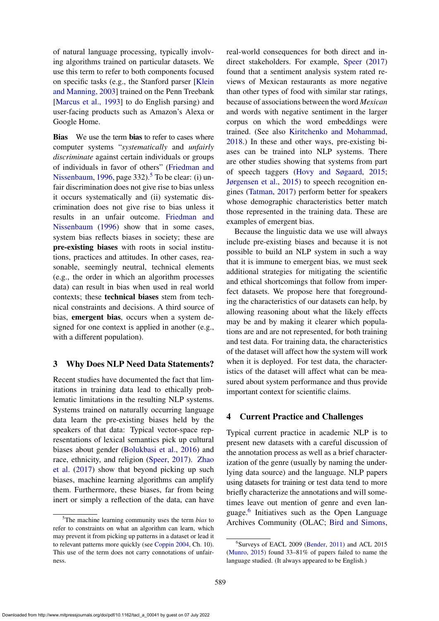of natural language processing, typically involving algorithms trained on particular datasets. We use this term to refer to both components focused on specific tasks (e.g., the Stanford parser [\[Klein](#page-0-1) [and Manning,](#page-0-1) [2003\]](#page-15-5) trained on the Penn Treebank [\[Marcus et al.,](#page-0-1) [1993\]](#page-15-6) to do English parsing) and user-facing products such as Amazon's Alexa or Google Home.

Bias We use the term bias to refer to cases where computer systems "*systematically* and *unfairly discriminate* against certain individuals or groups of individuals in favor of others" [\(Friedman and](#page-15-7) [Nissenbaum,](#page-15-7) [1996,](#page-15-7) page  $332$ ).<sup>[5](#page-2-2)</sup> To be clear: (i) unfair discrimination does not give rise to bias unless it occurs systematically and (ii) systematic discrimination does not give rise to bias unless it results in an unfair outcome. [Friedman and](#page-0-1) [Nissenbaum](#page-0-1) [\(1996\)](#page-15-7) show that in some cases, system bias reflects biases in society; these are pre-existing biases with roots in social institutions, practices and attitudes. In other cases, reasonable, seemingly neutral, technical elements (e.g., the order in which an algorithm processes data) can result in bias when used in real world contexts; these technical biases stem from technical constraints and decisions. A third source of bias, emergent bias, occurs when a system designed for one context is applied in another (e.g., with a different population).

### <span id="page-2-0"></span>3 Why Does NLP Need Data Statements?

Recent studies have documented the fact that limitations in training data lead to ethically problematic limitations in the resulting NLP systems. Systems trained on naturally occurring language data learn the pre-existing biases held by the speakers of that data: Typical vector-space representations of lexical semantics pick up cultural biases about gender [\(Bolukbasi et al.,](#page-14-4) [2016\)](#page-14-4) and race, ethnicity, and religion [\(Speer,](#page-16-6) [2017\)](#page-16-6). [Zhao](#page-17-0) [et al.](#page-17-0) [\(2017\)](#page-17-0) show that beyond picking up such biases, machine learning algorithms can amplify them. Furthermore, these biases, far from being inert or simply a reflection of the data, can have real-world consequences for both direct and indirect stakeholders. For example, [Speer](#page-16-6) [\(2017\)](#page-16-6) found that a sentiment analysis system rated reviews of Mexican restaurants as more negative than other types of food with similar star ratings, because of associations between the word *Mexican* and words with negative sentiment in the larger corpus on which the word embeddings were trained. (See also [Kiritchenko and Mohammad,](#page-15-8) [2018.](#page-15-8)) In these and other ways, pre-existing biases can be trained into NLP systems. There are other studies showing that systems from part of speech taggers [\(Hovy and Søgaard,](#page-15-9) [2015;](#page-15-9) [Jørgensen et al.,](#page-15-10) [2015\)](#page-15-10) to speech recognition engines [\(Tatman,](#page-16-7) [2017\)](#page-16-7) perform better for speakers whose demographic characteristics better match those represented in the training data. These are examples of emergent bias.

Because the linguistic data we use will always include pre-existing biases and because it is not possible to build an NLP system in such a way that it is immune to emergent bias, we must seek additional strategies for mitigating the scientific and ethical shortcomings that follow from imperfect datasets. We propose here that foregrounding the characteristics of our datasets can help, by allowing reasoning about what the likely effects may be and by making it clearer which populations are and are not represented, for both training and test data. For training data, the characteristics of the dataset will affect how the system will work when it is deployed. For test data, the characteristics of the dataset will affect what can be measured about system performance and thus provide important context for scientific claims.

# <span id="page-2-1"></span>4 Current Practice and Challenges

Typical current practice in academic NLP is to present new datasets with a careful discussion of the annotation process as well as a brief characterization of the genre (usually by naming the underlying data source) and the language. NLP papers using datasets for training or test data tend to more briefly characterize the annotations and will sometimes leave out mention of genre and even language.[6](#page-2-3) Initiatives such as the Open Language Archives Community (OLAC; [Bird and Simons,](#page-0-1)

<span id="page-2-2"></span><sup>5</sup>The machine learning community uses the term *bias* to refer to constraints on what an algorithm can learn, which may prevent it from picking up patterns in a dataset or lead it to relevant patterns more quickly (see [Coppin](#page-14-5) [2004,](#page-14-5) Ch. 10). This use of the term does not carry connotations of unfairness.

<span id="page-2-3"></span><sup>6</sup> Surveys of EACL 2009 [\(Bender,](#page-14-6) [2011\)](#page-14-6) and ACL 2015 [\(Munro,](#page-16-8) [2015\)](#page-16-8) found 33–81% of papers failed to name the language studied. (It always appeared to be English.)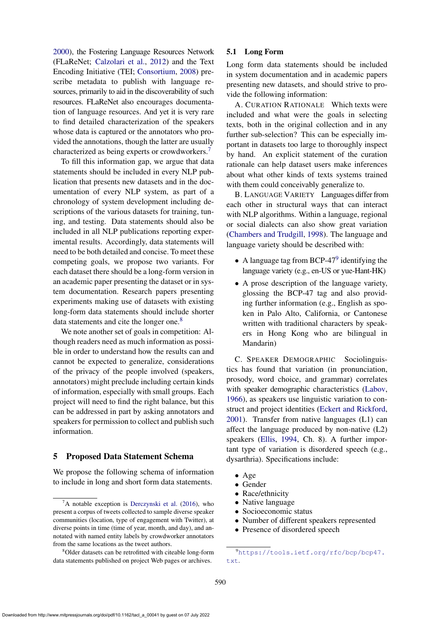[2000\)](#page-14-7), the Fostering Language Resources Network (FLaReNet; [Calzolari et al.,](#page-14-8) [2012\)](#page-14-8) and the Text Encoding Initiative (TEI; [Consortium,](#page-14-9) [2008\)](#page-14-9) prescribe metadata to publish with language resources, primarily to aid in the discoverability of such resources. FLaReNet also encourages documentation of language resources. And yet it is very rare to find detailed characterization of the speakers whose data is captured or the annotators who provided the annotations, though the latter are usually characterized as being experts or crowdworkers.[7](#page-3-1)

To fill this information gap, we argue that data statements should be included in every NLP publication that presents new datasets and in the documentation of every NLP system, as part of a chronology of system development including descriptions of the various datasets for training, tuning, and testing. Data statements should also be included in all NLP publications reporting experimental results. Accordingly, data statements will need to be both detailed and concise. To meet these competing goals, we propose two variants. For each dataset there should be a long-form version in an academic paper presenting the dataset or in system documentation. Research papers presenting experiments making use of datasets with existing long-form data statements should include shorter data statements and cite the longer one.<sup>[8](#page-3-2)</sup>

We note another set of goals in competition: Although readers need as much information as possible in order to understand how the results can and cannot be expected to generalize, considerations of the privacy of the people involved (speakers, annotators) might preclude including certain kinds of information, especially with small groups. Each project will need to find the right balance, but this can be addressed in part by asking annotators and speakers for permission to collect and publish such information.

### <span id="page-3-0"></span>5 Proposed Data Statement Schema

We propose the following schema of information to include in long and short form data statements.

## 5.1 Long Form

Long form data statements should be included in system documentation and in academic papers presenting new datasets, and should strive to provide the following information:

A. CURATION RATIONALE Which texts were included and what were the goals in selecting texts, both in the original collection and in any further sub-selection? This can be especially important in datasets too large to thoroughly inspect by hand. An explicit statement of the curation rationale can help dataset users make inferences about what other kinds of texts systems trained with them could conceivably generalize to.

B. LANGUAGE VARIETY Languages differ from each other in structural ways that can interact with NLP algorithms. Within a language, regional or social dialects can also show great variation [\(Chambers and Trudgill,](#page-14-11) [1998\)](#page-14-11). The language and language variety should be described with:

- A language tag from BCP-47 $9$  identifying the language variety (e.g., en-US or yue-Hant-HK)
- A prose description of the language variety, glossing the BCP-47 tag and also providing further information (e.g., English as spoken in Palo Alto, California, or Cantonese written with traditional characters by speakers in Hong Kong who are bilingual in Mandarin)

C. SPEAKER DEMOGRAPHIC Sociolinguistics has found that variation (in pronunciation, prosody, word choice, and grammar) correlates with speaker demographic characteristics [\(Labov,](#page-15-11) [1966\)](#page-15-11), as speakers use linguistic variation to construct and project identities [\(Eckert and Rickford,](#page-14-12) [2001\)](#page-14-12). Transfer from native languages (L1) can affect the language produced by non-native (L2) speakers [\(Ellis,](#page-14-13) [1994,](#page-14-13) Ch. 8). A further important type of variation is disordered speech (e.g., dysarthria). Specifications include:

- Age
- Gender
- Race/ethnicity
- Native language
- Socioeconomic status
- Number of different speakers represented
- Presence of disordered speech

<span id="page-3-1"></span> ${}^{7}$ A notable exception is [Derczynski et al.](#page-14-10) [\(2016\)](#page-14-10), who present a corpus of tweets collected to sample diverse speaker communities (location, type of engagement with Twitter), at diverse points in time (time of year, month, and day), and annotated with named entity labels by crowdworker annotators from the same locations as the tweet authors.

<span id="page-3-2"></span><sup>8</sup>Older datasets can be retrofitted with citeable long-form data statements published on project Web pages or archives.

<span id="page-3-3"></span><sup>9</sup>[https://tools.ietf.org/rfc/bcp/bcp47.](https://tools.ietf.org/rfc/bcp/bcp47.txt) [txt](https://tools.ietf.org/rfc/bcp/bcp47.txt).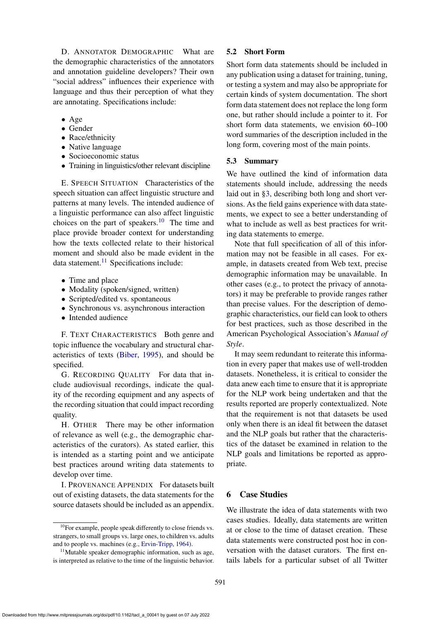D. ANNOTATOR DEMOGRAPHIC What are the demographic characteristics of the annotators and annotation guideline developers? Their own "social address" influences their experience with language and thus their perception of what they are annotating. Specifications include:

- Age
- Gender
- Race/ethnicity
- Native language
- Socioeconomic status
- Training in linguistics/other relevant discipline

E. SPEECH SITUATION Characteristics of the speech situation can affect linguistic structure and patterns at many levels. The intended audience of a linguistic performance can also affect linguistic choices on the part of speakers.<sup>[10](#page-4-1)</sup> The time and place provide broader context for understanding how the texts collected relate to their historical moment and should also be made evident in the data statement. $^{11}$  $^{11}$  $^{11}$  Specifications include:

- Time and place
- Modality (spoken/signed, written)
- Scripted/edited vs. spontaneous
- Synchronous vs. asynchronous interaction
- Intended audience

F. TEXT CHARACTERISTICS Both genre and topic influence the vocabulary and structural characteristics of texts [\(Biber,](#page-14-14) [1995\)](#page-14-14), and should be specified.

G. RECORDING QUALITY For data that include audiovisual recordings, indicate the quality of the recording equipment and any aspects of the recording situation that could impact recording quality.

H. OTHER There may be other information of relevance as well (e.g., the demographic characteristics of the curators). As stated earlier, this is intended as a starting point and we anticipate best practices around writing data statements to develop over time.

I. PROVENANCE APPENDIX For datasets built out of existing datasets, the data statements for the source datasets should be included as an appendix.

## 5.2 Short Form

Short form data statements should be included in any publication using a dataset for training, tuning, or testing a system and may also be appropriate for certain kinds of system documentation. The short form data statement does not replace the long form one, but rather should include a pointer to it. For short form data statements, we envision 60–100 word summaries of the description included in the long form, covering most of the main points.

#### 5.3 Summary

We have outlined the kind of information data statements should include, addressing the needs laid out in [§3,](#page-2-0) describing both long and short versions. As the field gains experience with data statements, we expect to see a better understanding of what to include as well as best practices for writing data statements to emerge.

Note that full specification of all of this information may not be feasible in all cases. For example, in datasets created from Web text, precise demographic information may be unavailable. In other cases (e.g., to protect the privacy of annotators) it may be preferable to provide ranges rather than precise values. For the description of demographic characteristics, our field can look to others for best practices, such as those described in the American Psychological Association's *Manual of Style*.

It may seem redundant to reiterate this information in every paper that makes use of well-trodden datasets. Nonetheless, it is critical to consider the data anew each time to ensure that it is appropriate for the NLP work being undertaken and that the results reported are properly contextualized. Note that the requirement is not that datasets be used only when there is an ideal fit between the dataset and the NLP goals but rather that the characteristics of the dataset be examined in relation to the NLP goals and limitations be reported as appropriate.

## <span id="page-4-0"></span>6 Case Studies

We illustrate the idea of data statements with two cases studies. Ideally, data statements are written at or close to the time of dataset creation. These data statements were constructed post hoc in conversation with the dataset curators. The first entails labels for a particular subset of all Twitter

<span id="page-4-1"></span> $10$ For example, people speak differently to close friends vs. strangers, to small groups vs. large ones, to children vs. adults and to people vs. machines (e.g., [Ervin-Tripp,](#page-14-15) [1964\)](#page-14-15).

<span id="page-4-2"></span> $11$ Mutable speaker demographic information, such as age, is interpreted as relative to the time of the linguistic behavior.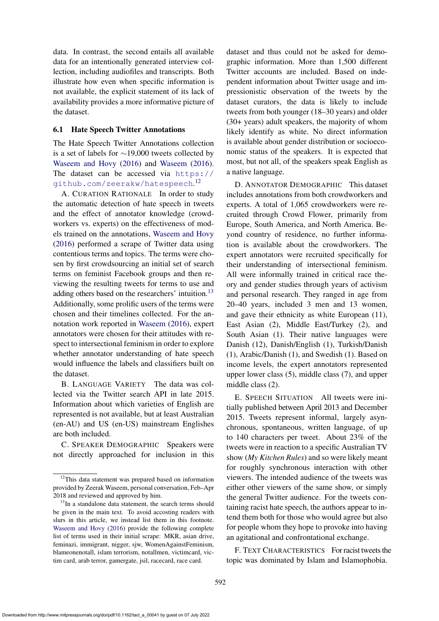data. In contrast, the second entails all available data for an intentionally generated interview collection, including audiofiles and transcripts. Both illustrate how even when specific information is not available, the explicit statement of its lack of availability provides a more informative picture of the dataset.

#### 6.1 Hate Speech Twitter Annotations

The Hate Speech Twitter Annotations collection is a set of labels for ∼19,000 tweets collected by [Waseem and Hovy](#page-16-9) [\(2016\)](#page-16-9) and [Waseem](#page-16-10) [\(2016\)](#page-16-10). The dataset can be accessed via [https://](https://github.com/zeerakw/hatespeech) [github.com/zeerakw/hatespeech](https://github.com/zeerakw/hatespeech). [12](#page-5-0)

A. CURATION RATIONALE In order to study the automatic detection of hate speech in tweets and the effect of annotator knowledge (crowdworkers vs. experts) on the effectiveness of models trained on the annotations, [Waseem and Hovy](#page-16-9) [\(2016\)](#page-16-9) performed a scrape of Twitter data using contentious terms and topics. The terms were chosen by first crowdsourcing an initial set of search terms on feminist Facebook groups and then reviewing the resulting tweets for terms to use and adding others based on the researchers' intuition.<sup>[13](#page-5-1)</sup> Additionally, some prolific users of the terms were chosen and their timelines collected. For the annotation work reported in [Waseem](#page-16-10) [\(2016\)](#page-16-10), expert annotators were chosen for their attitudes with respect to intersectional feminism in order to explore whether annotator understanding of hate speech would influence the labels and classifiers built on the dataset.

B. LANGUAGE VARIETY The data was collected via the Twitter search API in late 2015. Information about which varieties of English are represented is not available, but at least Australian (en-AU) and US (en-US) mainstream Englishes are both included.

C. SPEAKER DEMOGRAPHIC Speakers were not directly approached for inclusion in this

dataset and thus could not be asked for demographic information. More than 1,500 different Twitter accounts are included. Based on independent information about Twitter usage and impressionistic observation of the tweets by the dataset curators, the data is likely to include tweets from both younger (18–30 years) and older (30+ years) adult speakers, the majority of whom likely identify as white. No direct information is available about gender distribution or socioeconomic status of the speakers. It is expected that most, but not all, of the speakers speak English as a native language.

D. ANNOTATOR DEMOGRAPHIC This dataset includes annotations from both crowdworkers and experts. A total of 1,065 crowdworkers were recruited through Crowd Flower, primarily from Europe, South America, and North America. Beyond country of residence, no further information is available about the crowdworkers. The expert annotators were recruited specifically for their understanding of intersectional feminism. All were informally trained in critical race theory and gender studies through years of activism and personal research. They ranged in age from 20–40 years, included 3 men and 13 women, and gave their ethnicity as white European (11), East Asian (2), Middle East/Turkey (2), and South Asian (1). Their native languages were Danish (12), Danish/English (1), Turkish/Danish (1), Arabic/Danish (1), and Swedish (1). Based on income levels, the expert annotators represented upper lower class (5), middle class (7), and upper middle class (2).

E. SPEECH SITUATION All tweets were initially published between April 2013 and December 2015. Tweets represent informal, largely asynchronous, spontaneous, written language, of up to 140 characters per tweet. About 23% of the tweets were in reaction to a specific Australian TV show (*My Kitchen Rules*) and so were likely meant for roughly synchronous interaction with other viewers. The intended audience of the tweets was either other viewers of the same show, or simply the general Twitter audience. For the tweets containing racist hate speech, the authors appear to intend them both for those who would agree but also for people whom they hope to provoke into having an agitational and confrontational exchange.

F. TEXT CHARACTERISTICS For racist tweets the topic was dominated by Islam and Islamophobia.

<span id="page-5-0"></span><sup>&</sup>lt;sup>12</sup>This data statement was prepared based on information provided by Zeerak Waseem, personal conversation, Feb–Apr 2018 and reviewed and approved by him.

<span id="page-5-1"></span><sup>&</sup>lt;sup>13</sup>In a standalone data statement, the search terms should be given in the main text. To avoid accosting readers with slurs in this article, we instead list them in this footnote. [Waseem and Hovy](#page-16-9) [\(2016\)](#page-16-9) provide the following complete list of terms used in their initial scrape: MKR, asian drive, feminazi, immigrant, nigger, sjw, WomenAgainstFeminism, blameonenotall, islam terrorism, notallmen, victimcard, victim card, arab terror, gamergate, jsil, racecard, race card.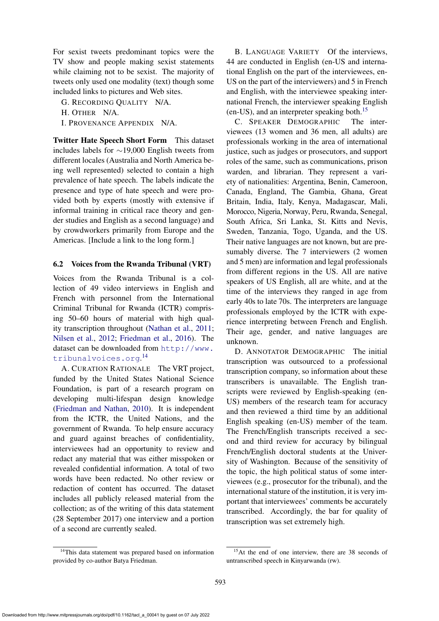For sexist tweets predominant topics were the TV show and people making sexist statements while claiming not to be sexist. The majority of tweets only used one modality (text) though some included links to pictures and Web sites.

G. RECORDING QUALITY N/A.

H. OTHER N/A.

I. PROVENANCE APPENDIX N/A.

Twitter Hate Speech Short Form This dataset includes labels for ∼19,000 English tweets from different locales (Australia and North America being well represented) selected to contain a high prevalence of hate speech. The labels indicate the presence and type of hate speech and were provided both by experts (mostly with extensive if informal training in critical race theory and gender studies and English as a second language) and by crowdworkers primarily from Europe and the Americas. [Include a link to the long form.]

### 6.2 Voices from the Rwanda Tribunal (VRT)

Voices from the Rwanda Tribunal is a collection of 49 video interviews in English and French with personnel from the International Criminal Tribunal for Rwanda (ICTR) comprising 50–60 hours of material with high quality transcription throughout [\(Nathan et al.,](#page-16-11) [2011;](#page-16-11) [Nilsen et al.,](#page-16-12) [2012;](#page-16-12) [Friedman et al.,](#page-15-12) [2016\)](#page-15-12). The dataset can be downloaded from [http://www.](http://www.tribunalvoices.org) [tribunalvoices.org](http://www.tribunalvoices.org). [14](#page-6-0)

A. CURATION RATIONALE The VRT project, funded by the United States National Science Foundation, is part of a research program on developing multi-lifespan design knowledge [\(Friedman and Nathan,](#page-15-13) [2010\)](#page-15-13). It is independent from the ICTR, the United Nations, and the government of Rwanda. To help ensure accuracy and guard against breaches of confidentiality, interviewees had an opportunity to review and redact any material that was either misspoken or revealed confidential information. A total of two words have been redacted. No other review or redaction of content has occurred. The dataset includes all publicly released material from the collection; as of the writing of this data statement (28 September 2017) one interview and a portion of a second are currently sealed.

<span id="page-6-0"></span><sup>14</sup>This data statement was prepared based on information provided by co-author Batya Friedman.

B. LANGUAGE VARIETY Of the interviews, 44 are conducted in English (en-US and international English on the part of the interviewees, en-US on the part of the interviewers) and 5 in French and English, with the interviewee speaking international French, the interviewer speaking English (en-US), and an interpreter speaking both.<sup>[15](#page-6-1)</sup>

C. SPEAKER DEMOGRAPHIC The interviewees (13 women and 36 men, all adults) are professionals working in the area of international justice, such as judges or prosecutors, and support roles of the same, such as communications, prison warden, and librarian. They represent a variety of nationalities: Argentina, Benin, Cameroon, Canada, England, The Gambia, Ghana, Great Britain, India, Italy, Kenya, Madagascar, Mali, Morocco, Nigeria, Norway, Peru, Rwanda, Senegal, South Africa, Sri Lanka, St. Kitts and Nevis, Sweden, Tanzania, Togo, Uganda, and the US. Their native languages are not known, but are presumably diverse. The 7 interviewers (2 women and 5 men) are information and legal professionals from different regions in the US. All are native speakers of US English, all are white, and at the time of the interviews they ranged in age from early 40s to late 70s. The interpreters are language professionals employed by the ICTR with experience interpreting between French and English. Their age, gender, and native languages are unknown.

D. ANNOTATOR DEMOGRAPHIC The initial transcription was outsourced to a professional transcription company, so information about these transcribers is unavailable. The English transcripts were reviewed by English-speaking (en-US) members of the research team for accuracy and then reviewed a third time by an additional English speaking (en-US) member of the team. The French/English transcripts received a second and third review for accuracy by bilingual French/English doctoral students at the University of Washington. Because of the sensitivity of the topic, the high political status of some interviewees (e.g., prosecutor for the tribunal), and the international stature of the institution, it is very important that interviewees' comments be accurately transcribed. Accordingly, the bar for quality of transcription was set extremely high.

<span id="page-6-1"></span><sup>15</sup>At the end of one interview, there are 38 seconds of untranscribed speech in Kinyarwanda (rw).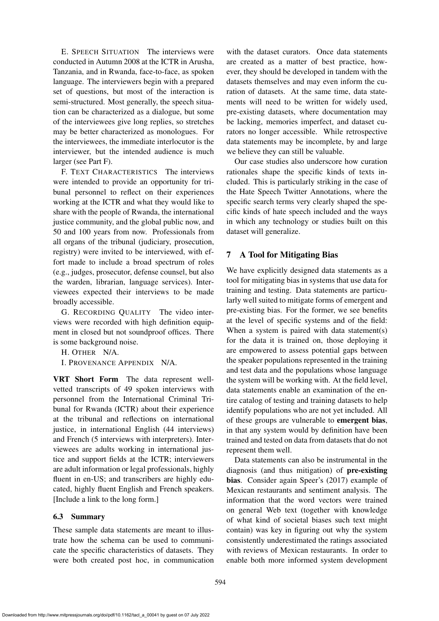E. SPEECH SITUATION The interviews were conducted in Autumn 2008 at the ICTR in Arusha, Tanzania, and in Rwanda, face-to-face, as spoken language. The interviewers begin with a prepared set of questions, but most of the interaction is semi-structured. Most generally, the speech situation can be characterized as a dialogue, but some of the interviewees give long replies, so stretches may be better characterized as monologues. For the interviewees, the immediate interlocutor is the interviewer, but the intended audience is much larger (see Part F).

F. TEXT CHARACTERISTICS The interviews were intended to provide an opportunity for tribunal personnel to reflect on their experiences working at the ICTR and what they would like to share with the people of Rwanda, the international justice community, and the global public now, and 50 and 100 years from now. Professionals from all organs of the tribunal (judiciary, prosecution, registry) were invited to be interviewed, with effort made to include a broad spectrum of roles (e.g., judges, prosecutor, defense counsel, but also the warden, librarian, language services). Interviewees expected their interviews to be made broadly accessible.

G. RECORDING QUALITY The video interviews were recorded with high definition equipment in closed but not soundproof offices. There is some background noise.

H. OTHER N/A.

I. PROVENANCE APPENDIX N/A.

VRT Short Form The data represent wellvetted transcripts of 49 spoken interviews with personnel from the International Criminal Tribunal for Rwanda (ICTR) about their experience at the tribunal and reflections on international justice, in international English (44 interviews) and French (5 interviews with interpreters). Interviewees are adults working in international justice and support fields at the ICTR; interviewers are adult information or legal professionals, highly fluent in en-US; and transcribers are highly educated, highly fluent English and French speakers. [Include a link to the long form.]

### 6.3 Summary

These sample data statements are meant to illustrate how the schema can be used to communicate the specific characteristics of datasets. They were both created post hoc, in communication with the dataset curators. Once data statements are created as a matter of best practice, however, they should be developed in tandem with the datasets themselves and may even inform the curation of datasets. At the same time, data statements will need to be written for widely used, pre-existing datasets, where documentation may be lacking, memories imperfect, and dataset curators no longer accessible. While retrospective data statements may be incomplete, by and large we believe they can still be valuable.

Our case studies also underscore how curation rationales shape the specific kinds of texts included. This is particularly striking in the case of the Hate Speech Twitter Annotations, where the specific search terms very clearly shaped the specific kinds of hate speech included and the ways in which any technology or studies built on this dataset will generalize.

# <span id="page-7-0"></span>7 A Tool for Mitigating Bias

We have explicitly designed data statements as a tool for mitigating bias in systems that use data for training and testing. Data statements are particularly well suited to mitigate forms of emergent and pre-existing bias. For the former, we see benefits at the level of specific systems and of the field: When a system is paired with data statement(s) for the data it is trained on, those deploying it are empowered to assess potential gaps between the speaker populations represented in the training and test data and the populations whose language the system will be working with. At the field level, data statements enable an examination of the entire catalog of testing and training datasets to help identify populations who are not yet included. All of these groups are vulnerable to emergent bias, in that any system would by definition have been trained and tested on data from datasets that do not represent them well.

Data statements can also be instrumental in the diagnosis (and thus mitigation) of pre-existing bias. Consider again Speer's (2017) example of Mexican restaurants and sentiment analysis. The information that the word vectors were trained on general Web text (together with knowledge of what kind of societal biases such text might contain) was key in figuring out why the system consistently underestimated the ratings associated with reviews of Mexican restaurants. In order to enable both more informed system development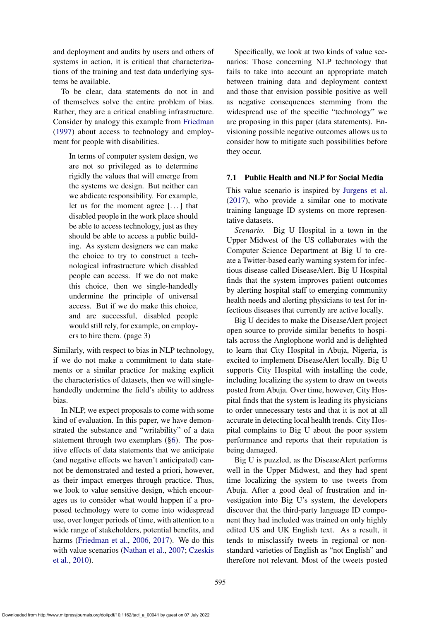and deployment and audits by users and others of systems in action, it is critical that characterizations of the training and test data underlying systems be available.

To be clear, data statements do not in and of themselves solve the entire problem of bias. Rather, they are a critical enabling infrastructure. Consider by analogy this example from [Friedman](#page-14-16) [\(1997\)](#page-14-16) about access to technology and employment for people with disabilities.

In terms of computer system design, we are not so privileged as to determine rigidly the values that will emerge from the systems we design. But neither can we abdicate responsibility. For example, let us for the moment agree [. . . ] that disabled people in the work place should be able to access technology, just as they should be able to access a public building. As system designers we can make the choice to try to construct a technological infrastructure which disabled people can access. If we do not make this choice, then we single-handedly undermine the principle of universal access. But if we do make this choice, and are successful, disabled people would still rely, for example, on employers to hire them. (page 3)

Similarly, with respect to bias in NLP technology, if we do not make a commitment to data statements or a similar practice for making explicit the characteristics of datasets, then we will singlehandedly undermine the field's ability to address bias.

In NLP, we expect proposals to come with some kind of evaluation. In this paper, we have demonstrated the substance and "writability" of a data statement through two exemplars ([§6\)](#page-4-0). The positive effects of data statements that we anticipate (and negative effects we haven't anticipated) cannot be demonstrated and tested a priori, however, as their impact emerges through practice. Thus, we look to value sensitive design, which encourages us to consider what would happen if a proposed technology were to come into widespread use, over longer periods of time, with attention to a wide range of stakeholders, potential benefits, and harms [\(Friedman et al.,](#page-14-0) [2006,](#page-14-0) [2017\)](#page-14-17). We do this with value scenarios [\(Nathan et al.,](#page-16-13) [2007;](#page-16-13) [Czeskis](#page-14-3) [et al.,](#page-14-3) [2010\)](#page-14-3).

Specifically, we look at two kinds of value scenarios: Those concerning NLP technology that fails to take into account an appropriate match between training data and deployment context and those that envision possible positive as well as negative consequences stemming from the widespread use of the specific "technology" we are proposing in this paper (data statements). Envisioning possible negative outcomes allows us to consider how to mitigate such possibilities before they occur.

### <span id="page-8-0"></span>7.1 Public Health and NLP for Social Media

This value scenario is inspired by [Jurgens et al.](#page-15-14) [\(2017\)](#page-15-14), who provide a similar one to motivate training language ID systems on more representative datasets.

*Scenario.* Big U Hospital in a town in the Upper Midwest of the US collaborates with the Computer Science Department at Big U to create a Twitter-based early warning system for infectious disease called DiseaseAlert. Big U Hospital finds that the system improves patient outcomes by alerting hospital staff to emerging community health needs and alerting physicians to test for infectious diseases that currently are active locally.

Big U decides to make the DiseaseAlert project open source to provide similar benefits to hospitals across the Anglophone world and is delighted to learn that City Hospital in Abuja, Nigeria, is excited to implement DiseaseAlert locally. Big U supports City Hospital with installing the code, including localizing the system to draw on tweets posted from Abuja. Over time, however, City Hospital finds that the system is leading its physicians to order unnecessary tests and that it is not at all accurate in detecting local health trends. City Hospital complains to Big U about the poor system performance and reports that their reputation is being damaged.

Big U is puzzled, as the DiseaseAlert performs well in the Upper Midwest, and they had spent time localizing the system to use tweets from Abuja. After a good deal of frustration and investigation into Big U's system, the developers discover that the third-party language ID component they had included was trained on only highly edited US and UK English text. As a result, it tends to misclassify tweets in regional or nonstandard varieties of English as "not English" and therefore not relevant. Most of the tweets posted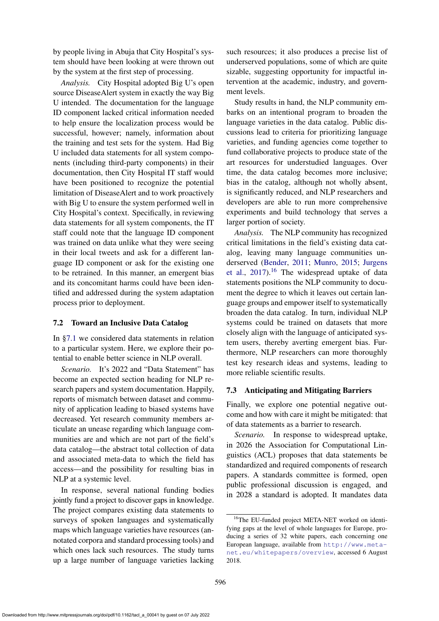by people living in Abuja that City Hospital's system should have been looking at were thrown out by the system at the first step of processing.

*Analysis.* City Hospital adopted Big U's open source DiseaseAlert system in exactly the way Big U intended. The documentation for the language ID component lacked critical information needed to help ensure the localization process would be successful, however; namely, information about the training and test sets for the system. Had Big U included data statements for all system components (including third-party components) in their documentation, then City Hospital IT staff would have been positioned to recognize the potential limitation of DiseaseAlert and to work proactively with Big U to ensure the system performed well in City Hospital's context. Specifically, in reviewing data statements for all system components, the IT staff could note that the language ID component was trained on data unlike what they were seeing in their local tweets and ask for a different language ID component or ask for the existing one to be retrained. In this manner, an emergent bias and its concomitant harms could have been identified and addressed during the system adaptation process prior to deployment.

### <span id="page-9-1"></span>7.2 Toward an Inclusive Data Catalog

In [§7.1](#page-8-0) we considered data statements in relation to a particular system. Here, we explore their potential to enable better science in NLP overall.

*Scenario.* It's 2022 and "Data Statement" has become an expected section heading for NLP research papers and system documentation. Happily, reports of mismatch between dataset and community of application leading to biased systems have decreased. Yet research community members articulate an unease regarding which language communities are and which are not part of the field's data catalog—the abstract total collection of data and associated meta-data to which the field has access—and the possibility for resulting bias in NLP at a systemic level.

In response, several national funding bodies jointly fund a project to discover gaps in knowledge. The project compares existing data statements to surveys of spoken languages and systematically maps which language varieties have resources (annotated corpora and standard processing tools) and which ones lack such resources. The study turns up a large number of language varieties lacking such resources; it also produces a precise list of underserved populations, some of which are quite sizable, suggesting opportunity for impactful intervention at the academic, industry, and government levels.

Study results in hand, the NLP community embarks on an intentional program to broaden the language varieties in the data catalog. Public discussions lead to criteria for prioritizing language varieties, and funding agencies come together to fund collaborative projects to produce state of the art resources for understudied languages. Over time, the data catalog becomes more inclusive; bias in the catalog, although not wholly absent, is significantly reduced, and NLP researchers and developers are able to run more comprehensive experiments and build technology that serves a larger portion of society.

*Analysis.* The NLP community has recognized critical limitations in the field's existing data catalog, leaving many language communities underserved [\(Bender,](#page-14-6) [2011;](#page-14-6) [Munro,](#page-16-8) [2015;](#page-16-8) [Jurgens](#page-15-14) [et al.,](#page-15-14)  $2017$ .<sup>[16](#page-9-0)</sup> The widespread uptake of data statements positions the NLP community to document the degree to which it leaves out certain language groups and empower itself to systematically broaden the data catalog. In turn, individual NLP systems could be trained on datasets that more closely align with the language of anticipated system users, thereby averting emergent bias. Furthermore, NLP researchers can more thoroughly test key research ideas and systems, leading to more reliable scientific results.

## <span id="page-9-2"></span>7.3 Anticipating and Mitigating Barriers

Finally, we explore one potential negative outcome and how with care it might be mitigated: that of data statements as a barrier to research.

*Scenario.* In response to widespread uptake, in 2026 the Association for Computational Linguistics (ACL) proposes that data statements be standardized and required components of research papers. A standards committee is formed, open public professional discussion is engaged, and in 2028 a standard is adopted. It mandates data

<span id="page-9-0"></span><sup>&</sup>lt;sup>16</sup>The EU-funded project META-NET worked on identifying gaps at the level of whole languages for Europe, producing a series of 32 white papers, each concerning one European language, available from [http://www.meta](http://www.meta-net.eu/whitepapers/overview)[net.eu/whitepapers/overview](http://www.meta-net.eu/whitepapers/overview), accessed 6 August 2018.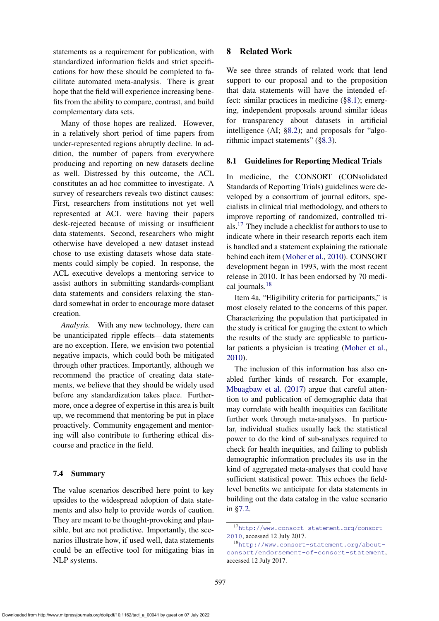statements as a requirement for publication, with standardized information fields and strict specifications for how these should be completed to facilitate automated meta-analysis. There is great hope that the field will experience increasing benefits from the ability to compare, contrast, and build complementary data sets.

Many of those hopes are realized. However, in a relatively short period of time papers from under-represented regions abruptly decline. In addition, the number of papers from everywhere producing and reporting on new datasets decline as well. Distressed by this outcome, the ACL constitutes an ad hoc committee to investigate. A survey of researchers reveals two distinct causes: First, researchers from institutions not yet well represented at ACL were having their papers desk-rejected because of missing or insufficient data statements. Second, researchers who might otherwise have developed a new dataset instead chose to use existing datasets whose data statements could simply be copied. In response, the ACL executive develops a mentoring service to assist authors in submitting standards-compliant data statements and considers relaxing the standard somewhat in order to encourage more dataset creation.

*Analysis.* With any new technology, there can be unanticipated ripple effects—data statements are no exception. Here, we envision two potential negative impacts, which could both be mitigated through other practices. Importantly, although we recommend the practice of creating data statements, we believe that they should be widely used before any standardization takes place. Furthermore, once a degree of expertise in this area is built up, we recommend that mentoring be put in place proactively. Community engagement and mentoring will also contribute to furthering ethical discourse and practice in the field.

### 7.4 Summary

The value scenarios described here point to key upsides to the widespread adoption of data statements and also help to provide words of caution. They are meant to be thought-provoking and plausible, but are not predictive. Importantly, the scenarios illustrate how, if used well, data statements could be an effective tool for mitigating bias in NLP systems.

### <span id="page-10-0"></span>8 Related Work

We see three strands of related work that lend support to our proposal and to the proposition that data statements will have the intended effect: similar practices in medicine ([§8.1\)](#page-10-1); emerging, independent proposals around similar ideas for transparency about datasets in artificial intelligence (AI; [§8.2\)](#page-11-1); and proposals for "algo-rithmic impact statements" ([§8.3\)](#page-11-2).

#### <span id="page-10-1"></span>8.1 Guidelines for Reporting Medical Trials

In medicine, the CONSORT (CONsolidated Standards of Reporting Trials) guidelines were developed by a consortium of journal editors, specialists in clinical trial methodology, and others to improve reporting of randomized, controlled trials.[17](#page-10-2) They include a checklist for authors to use to indicate where in their research reports each item is handled and a statement explaining the rationale behind each item [\(Moher et al.,](#page-16-0) [2010\)](#page-16-0). CONSORT development began in 1993, with the most recent release in 2010. It has been endorsed by 70 medical journals.[18](#page-10-3)

Item 4a, "Eligibility criteria for participants," is most closely related to the concerns of this paper. Characterizing the population that participated in the study is critical for gauging the extent to which the results of the study are applicable to particular patients a physician is treating [\(Moher et al.,](#page-16-0) [2010\)](#page-16-0).

The inclusion of this information has also enabled further kinds of research. For example, [Mbuagbaw et al.](#page-16-1) [\(2017\)](#page-16-1) argue that careful attention to and publication of demographic data that may correlate with health inequities can facilitate further work through meta-analyses. In particular, individual studies usually lack the statistical power to do the kind of sub-analyses required to check for health inequities, and failing to publish demographic information precludes its use in the kind of aggregated meta-analyses that could have sufficient statistical power. This echoes the fieldlevel benefits we anticipate for data statements in building out the data catalog in the value scenario in [§7.2.](#page-9-1)

<span id="page-10-2"></span><sup>17</sup>[http://www.consort-statement.org/consort-](http://www.consort-statement.org/consort-2010)[2010](http://www.consort-statement.org/consort-2010), accessed 12 July 2017.

<span id="page-10-3"></span><sup>18</sup>[http://www.consort-statement.org/about](http://www.consort-statement.org/about-consort/endorsement-of-consort-statement)[consort/endorsement-of-consort-statement](http://www.consort-statement.org/about-consort/endorsement-of-consort-statement), accessed 12 July 2017.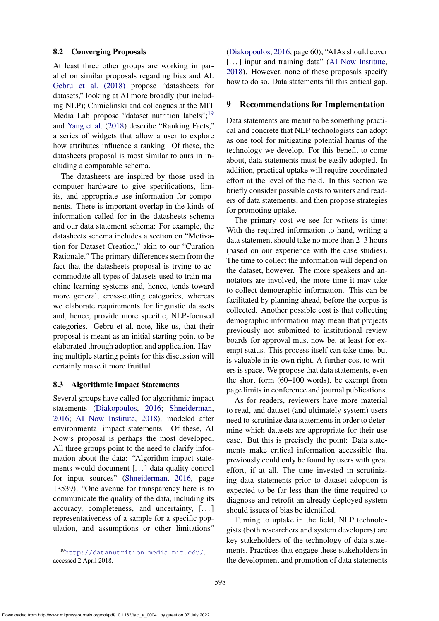#### <span id="page-11-1"></span>8.2 Converging Proposals

At least three other groups are working in parallel on similar proposals regarding bias and AI. [Gebru et al. \(2018\)](#page-0-1) propose "datasheets for datasets," looking at AI more broadly (but including NLP); Chmielinski and colleagues at the MIT Media Lab propose "dataset nutrition labels";<sup>[19](#page-11-3)</sup> and [Yang et al.](#page-17-1) [\(2018\)](#page-17-1) describe "Ranking Facts," a series of widgets that allow a user to explore how attributes influence a ranking. Of these, the datasheets proposal is most similar to ours in including a comparable schema.

The datasheets are inspired by those used in computer hardware to give specifications, limits, and appropriate use information for components. There is important overlap in the kinds of information called for in the datasheets schema and our data statement schema: For example, the datasheets schema includes a section on "Motivation for Dataset Creation," akin to our "Curation Rationale." The primary differences stem from the fact that the datasheets proposal is trying to accommodate all types of datasets used to train machine learning systems and, hence, tends toward more general, cross-cutting categories, whereas we elaborate requirements for linguistic datasets and, hence, provide more specific, NLP-focused categories. Gebru et al. note, like us, that their proposal is meant as an initial starting point to be elaborated through adoption and application. Having multiple starting points for this discussion will certainly make it more fruitful.

#### <span id="page-11-2"></span>8.3 Algorithmic Impact Statements

Several groups have called for algorithmic impact statements [\(Diakopoulos,](#page-14-18) [2016;](#page-14-18) [Shneiderman,](#page-16-14) [2016;](#page-16-14) [AI Now Institute,](#page-13-0) [2018\)](#page-13-0), modeled after environmental impact statements. Of these, AI Now's proposal is perhaps the most developed. All three groups point to the need to clarify information about the data: "Algorithm impact statements would document [. . . ] data quality control for input sources" [\(Shneiderman,](#page-16-14) [2016,](#page-16-14) page 13539); "One avenue for transparency here is to communicate the quality of the data, including its accuracy, completeness, and uncertainty, [...] representativeness of a sample for a specific population, and assumptions or other limitations"

[\(Diakopoulos,](#page-14-18) [2016,](#page-14-18) page 60); "AIAs should cover [...] input and training data" [\(AI Now Institute,](#page-13-0) [2018\)](#page-13-0). However, none of these proposals specify how to do so. Data statements fill this critical gap.

#### <span id="page-11-0"></span>9 Recommendations for Implementation

Data statements are meant to be something practical and concrete that NLP technologists can adopt as one tool for mitigating potential harms of the technology we develop. For this benefit to come about, data statements must be easily adopted. In addition, practical uptake will require coordinated effort at the level of the field. In this section we briefly consider possible costs to writers and readers of data statements, and then propose strategies for promoting uptake.

The primary cost we see for writers is time: With the required information to hand, writing a data statement should take no more than 2–3 hours (based on our experience with the case studies). The time to collect the information will depend on the dataset, however. The more speakers and annotators are involved, the more time it may take to collect demographic information. This can be facilitated by planning ahead, before the corpus is collected. Another possible cost is that collecting demographic information may mean that projects previously not submitted to institutional review boards for approval must now be, at least for exempt status. This process itself can take time, but is valuable in its own right. A further cost to writers is space. We propose that data statements, even the short form (60–100 words), be exempt from page limits in conference and journal publications.

As for readers, reviewers have more material to read, and dataset (and ultimately system) users need to scrutinize data statements in order to determine which datasets are appropriate for their use case. But this is precisely the point: Data statements make critical information accessible that previously could only be found by users with great effort, if at all. The time invested in scrutinizing data statements prior to dataset adoption is expected to be far less than the time required to diagnose and retrofit an already deployed system should issues of bias be identified.

Turning to uptake in the field, NLP technologists (both researchers and system developers) are key stakeholders of the technology of data statements. Practices that engage these stakeholders in the development and promotion of data statements

<span id="page-11-3"></span><sup>19</sup><http://datanutrition.media.mit.edu/>, accessed 2 April 2018.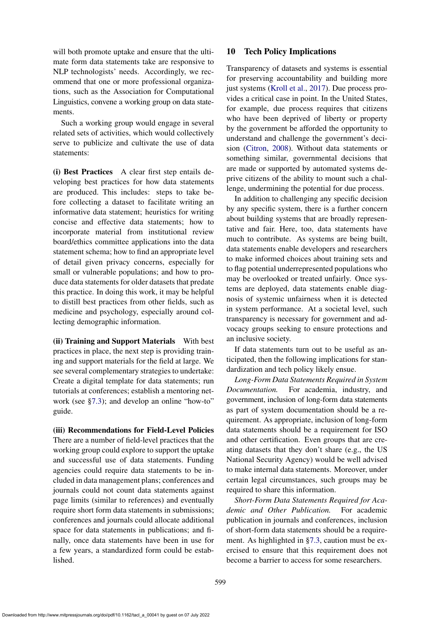will both promote uptake and ensure that the ultimate form data statements take are responsive to NLP technologists' needs. Accordingly, we recommend that one or more professional organizations, such as the Association for Computational Linguistics, convene a working group on data statements.

Such a working group would engage in several related sets of activities, which would collectively serve to publicize and cultivate the use of data statements:

(i) Best Practices A clear first step entails developing best practices for how data statements are produced. This includes: steps to take before collecting a dataset to facilitate writing an informative data statement; heuristics for writing concise and effective data statements; how to incorporate material from institutional review board/ethics committee applications into the data statement schema; how to find an appropriate level of detail given privacy concerns, especially for small or vulnerable populations; and how to produce data statements for older datasets that predate this practice. In doing this work, it may be helpful to distill best practices from other fields, such as medicine and psychology, especially around collecting demographic information.

(ii) Training and Support Materials With best practices in place, the next step is providing training and support materials for the field at large. We see several complementary strategies to undertake: Create a digital template for data statements; run tutorials at conferences; establish a mentoring network (see [§7.3\)](#page-9-2); and develop an online "how-to" guide.

(iii) Recommendations for Field-Level Policies There are a number of field-level practices that the working group could explore to support the uptake and successful use of data statements. Funding agencies could require data statements to be included in data management plans; conferences and journals could not count data statements against page limits (similar to references) and eventually require short form data statements in submissions; conferences and journals could allocate additional space for data statements in publications; and finally, once data statements have been in use for a few years, a standardized form could be established.

## <span id="page-12-0"></span>10 Tech Policy Implications

Transparency of datasets and systems is essential for preserving accountability and building more just systems [\(Kroll et al.,](#page-15-15) [2017\)](#page-15-15). Due process provides a critical case in point. In the United States, for example, due process requires that citizens who have been deprived of liberty or property by the government be afforded the opportunity to understand and challenge the government's decision [\(Citron,](#page-14-19) [2008\)](#page-14-19). Without data statements or something similar, governmental decisions that are made or supported by automated systems deprive citizens of the ability to mount such a challenge, undermining the potential for due process.

In addition to challenging any specific decision by any specific system, there is a further concern about building systems that are broadly representative and fair. Here, too, data statements have much to contribute. As systems are being built, data statements enable developers and researchers to make informed choices about training sets and to flag potential underrepresented populations who may be overlooked or treated unfairly. Once systems are deployed, data statements enable diagnosis of systemic unfairness when it is detected in system performance. At a societal level, such transparency is necessary for government and advocacy groups seeking to ensure protections and an inclusive society.

If data statements turn out to be useful as anticipated, then the following implications for standardization and tech policy likely ensue.

*Long-Form Data Statements Required in System Documentation.* For academia, industry, and government, inclusion of long-form data statements as part of system documentation should be a requirement. As appropriate, inclusion of long-form data statements should be a requirement for ISO and other certification. Even groups that are creating datasets that they don't share (e.g., the US National Security Agency) would be well advised to make internal data statements. Moreover, under certain legal circumstances, such groups may be required to share this information.

*Short-Form Data Statements Required for Academic and Other Publication.* For academic publication in journals and conferences, inclusion of short-form data statements should be a requirement. As highlighted in [§7.3,](#page-9-2) caution must be exercised to ensure that this requirement does not become a barrier to access for some researchers.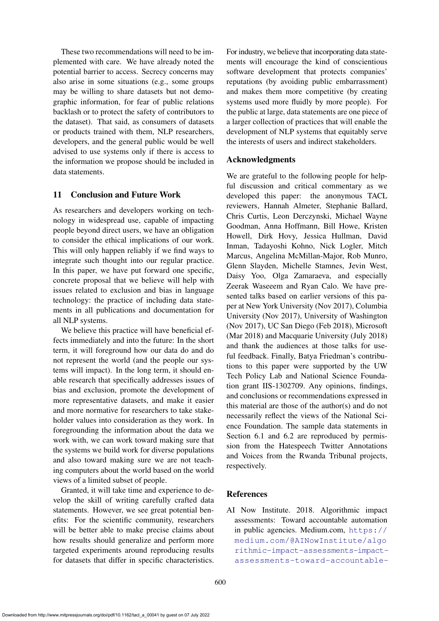These two recommendations will need to be implemented with care. We have already noted the potential barrier to access. Secrecy concerns may also arise in some situations (e.g., some groups may be willing to share datasets but not demographic information, for fear of public relations backlash or to protect the safety of contributors to the dataset). That said, as consumers of datasets or products trained with them, NLP researchers, developers, and the general public would be well advised to use systems only if there is access to the information we propose should be included in data statements.

## 11 Conclusion and Future Work

As researchers and developers working on technology in widespread use, capable of impacting people beyond direct users, we have an obligation to consider the ethical implications of our work. This will only happen reliably if we find ways to integrate such thought into our regular practice. In this paper, we have put forward one specific, concrete proposal that we believe will help with issues related to exclusion and bias in language technology: the practice of including data statements in all publications and documentation for all NLP systems.

We believe this practice will have beneficial effects immediately and into the future: In the short term, it will foreground how our data do and do not represent the world (and the people our systems will impact). In the long term, it should enable research that specifically addresses issues of bias and exclusion, promote the development of more representative datasets, and make it easier and more normative for researchers to take stakeholder values into consideration as they work. In foregrounding the information about the data we work with, we can work toward making sure that the systems we build work for diverse populations and also toward making sure we are not teaching computers about the world based on the world views of a limited subset of people.

Granted, it will take time and experience to develop the skill of writing carefully crafted data statements. However, we see great potential benefits: For the scientific community, researchers will be better able to make precise claims about how results should generalize and perform more targeted experiments around reproducing results for datasets that differ in specific characteristics.

For industry, we believe that incorporating data statements will encourage the kind of conscientious software development that protects companies' reputations (by avoiding public embarrassment) and makes them more competitive (by creating systems used more fluidly by more people). For the public at large, data statements are one piece of a larger collection of practices that will enable the development of NLP systems that equitably serve the interests of users and indirect stakeholders.

## Acknowledgments

We are grateful to the following people for helpful discussion and critical commentary as we developed this paper: the anonymous TACL reviewers, Hannah Almeter, Stephanie Ballard, Chris Curtis, Leon Derczynski, Michael Wayne Goodman, Anna Hoffmann, Bill Howe, Kristen Howell, Dirk Hovy, Jessica Hullman, David Inman, Tadayoshi Kohno, Nick Logler, Mitch Marcus, Angelina McMillan-Major, Rob Munro, Glenn Slayden, Michelle Stamnes, Jevin West, Daisy Yoo, Olga Zamaraeva, and especially Zeerak Waseeem and Ryan Calo. We have presented talks based on earlier versions of this paper at New York University (Nov 2017), Columbia University (Nov 2017), University of Washington (Nov 2017), UC San Diego (Feb 2018), Microsoft (Mar 2018) and Macquarie University (July 2018) and thank the audiences at those talks for useful feedback. Finally, Batya Friedman's contributions to this paper were supported by the UW Tech Policy Lab and National Science Foundation grant IIS-1302709. Any opinions, findings, and conclusions or recommendations expressed in this material are those of the author(s) and do not necessarily reflect the views of the National Science Foundation. The sample data statements in Section 6.1 and 6.2 are reproduced by permission from the Hatespeech Twitter Annotations and Voices from the Rwanda Tribunal projects, respectively.

### References

<span id="page-13-0"></span>AI Now Institute. 2018. Algorithmic impact assessments: Toward accountable automation in public agencies. Medium.com, [https://](https://medium.com/@AINowInstitute/algorithmic-impact-assessments-toward-accountable-automation-in-public-agencies-bd9856e6fdde) [medium.com/@AINowInstitute/algo](https://medium.com/@AINowInstitute/algorithmic-impact-assessments-toward-accountable-automation-in-public-agencies-bd9856e6fdde) [rithmic-impact-assessments-impact](https://medium.com/@AINowInstitute/algorithmic-impact-assessments-toward-accountable-automation-in-public-agencies-bd9856e6fdde)[assessments-toward-accountable-](https://medium.com/@AINowInstitute/algorithmic-impact-assessments-toward-accountable-automation-in-public-agencies-bd9856e6fdde)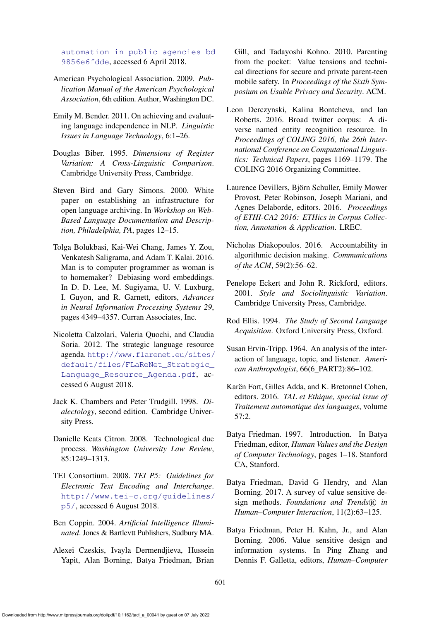[automation-in-public-agencies-bd](https://medium.com/@AINowInstitute/algorithmic-impact-assessments-toward-accountable-automation-in-public-agencies-bd9856e6fdde) [9856e6fdde](https://medium.com/@AINowInstitute/algorithmic-impact-assessments-toward-accountable-automation-in-public-agencies-bd9856e6fdde), accessed 6 April 2018.

- American Psychological Association. 2009. *Publication Manual of the American Psychological Association*, 6th edition. Author, Washington DC.
- <span id="page-14-6"></span>Emily M. Bender. 2011. On achieving and evaluating language independence in NLP. *Linguistic Issues in Language Technology*, 6:1–26.
- <span id="page-14-14"></span>Douglas Biber. 1995. *Dimensions of Register Variation: A Cross-Linguistic Comparison*. Cambridge University Press, Cambridge.
- <span id="page-14-7"></span>Steven Bird and Gary Simons. 2000. White paper on establishing an infrastructure for open language archiving. In *Workshop on Web-Based Language Documentation and Description, Philadelphia, PA*, pages 12–15.
- <span id="page-14-4"></span>Tolga Bolukbasi, Kai-Wei Chang, James Y. Zou, Venkatesh Saligrama, and Adam T. Kalai. 2016. Man is to computer programmer as woman is to homemaker? Debiasing word embeddings. In D. D. Lee, M. Sugiyama, U. V. Luxburg, I. Guyon, and R. Garnett, editors, *Advances in Neural Information Processing Systems 29*, pages 4349–4357. Curran Associates, Inc.
- <span id="page-14-8"></span>Nicoletta Calzolari, Valeria Quochi, and Claudia Soria. 2012. The strategic language resource agenda. [http://www.flarenet.eu/sites/](http://www.flarenet.eu/sites/default/files/FLaReNet_Strategic_Language_Resource_Agenda.pdf) [default/files/FLaReNet\\_Strategic\\_](http://www.flarenet.eu/sites/default/files/FLaReNet_Strategic_Language_Resource_Agenda.pdf) [Language\\_Resource\\_Agenda.pdf](http://www.flarenet.eu/sites/default/files/FLaReNet_Strategic_Language_Resource_Agenda.pdf), accessed 6 August 2018.
- <span id="page-14-11"></span>Jack K. Chambers and Peter Trudgill. 1998. *Dialectology*, second edition. Cambridge University Press.
- <span id="page-14-19"></span>Danielle Keats Citron. 2008. Technological due process. *Washington University Law Review*, 85:1249–1313.
- <span id="page-14-9"></span>TEI Consortium. 2008. *TEI P5: Guidelines for Electronic Text Encoding and Interchange*. [http://www.tei-c.org/guidelines/](http://www.tei-c.org/guidelines/p5/) [p5/](http://www.tei-c.org/guidelines/p5/), accessed 6 August 2018.
- <span id="page-14-5"></span>Ben Coppin. 2004. *Artificial Intelligence Illuminated*. Jones & Bartlevtt Publishers, Sudbury MA.
- <span id="page-14-3"></span>Alexei Czeskis, Ivayla Dermendjieva, Hussein Yapit, Alan Borning, Batya Friedman, Brian

Gill, and Tadayoshi Kohno. 2010. Parenting from the pocket: Value tensions and technical directions for secure and private parent-teen mobile safety. In *Proceedings of the Sixth Symposium on Usable Privacy and Security*. ACM.

- <span id="page-14-10"></span>Leon Derczynski, Kalina Bontcheva, and Ian Roberts. 2016. Broad twitter corpus: A diverse named entity recognition resource. In *Proceedings of COLING 2016, the 26th International Conference on Computational Linguistics: Technical Papers*, pages 1169–1179. The COLING 2016 Organizing Committee.
- <span id="page-14-2"></span>Laurence Devillers, Björn Schuller, Emily Mower Provost, Peter Robinson, Joseph Mariani, and Agnes Delaborde, editors. 2016. *Proceedings of ETHI-CA2 2016: ETHics in Corpus Collection, Annotation & Application*. LREC.
- <span id="page-14-18"></span>Nicholas Diakopoulos. 2016. Accountability in algorithmic decision making. *Communications of the ACM*, 59(2):56–62.
- <span id="page-14-12"></span>Penelope Eckert and John R. Rickford, editors. 2001. *Style and Sociolinguistic Variation*. Cambridge University Press, Cambridge.
- <span id="page-14-13"></span>Rod Ellis. 1994. *The Study of Second Language Acquisition*. Oxford University Press, Oxford.
- <span id="page-14-15"></span>Susan Ervin-Tripp. 1964. An analysis of the interaction of language, topic, and listener. *American Anthropologist*, 66(6\_PART2):86–102.
- <span id="page-14-1"></span>Karën Fort, Gilles Adda, and K. Bretonnel Cohen, editors. 2016. *TAL et Ethique, special issue of Traitement automatique des languages*, volume 57:2.
- <span id="page-14-16"></span>Batya Friedman. 1997. Introduction. In Batya Friedman, editor, *Human Values and the Design of Computer Technology*, pages 1–18. Stanford CA, Stanford.
- <span id="page-14-17"></span>Batya Friedman, David G Hendry, and Alan Borning. 2017. A survey of value sensitive design methods. *Foundations and Trends*( $\overline{R}$ ) *in Human–Computer Interaction*, 11(2):63–125.
- <span id="page-14-0"></span>Batya Friedman, Peter H. Kahn, Jr., and Alan Borning. 2006. Value sensitive design and information systems. In Ping Zhang and Dennis F. Galletta, editors, *Human–Computer*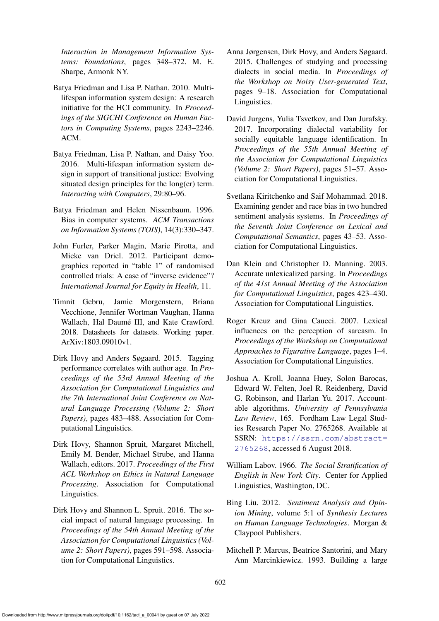*Interaction in Management Information Systems: Foundations*, pages 348–372. M. E. Sharpe, Armonk NY.

- <span id="page-15-13"></span>Batya Friedman and Lisa P. Nathan. 2010. Multilifespan information system design: A research initiative for the HCI community. In *Proceedings of the SIGCHI Conference on Human Factors in Computing Systems*, pages 2243–2246. ACM.
- <span id="page-15-12"></span>Batya Friedman, Lisa P. Nathan, and Daisy Yoo. 2016. Multi-lifespan information system design in support of transitional justice: Evolving situated design principles for the long(er) term. *Interacting with Computers*, 29:80–96.
- <span id="page-15-7"></span>Batya Friedman and Helen Nissenbaum. 1996. Bias in computer systems. *ACM Transactions on Information Systems (TOIS)*, 14(3):330–347.
- <span id="page-15-0"></span>John Furler, Parker Magin, Marie Pirotta, and Mieke van Driel. 2012. Participant demographics reported in "table 1" of randomised controlled trials: A case of "inverse evidence"? *International Journal for Equity in Health*, 11.
- Timnit Gebru, Jamie Morgenstern, Briana Vecchione, Jennifer Wortman Vaughan, Hanna Wallach, Hal Daumé III, and Kate Crawford. 2018. Datasheets for datasets. Working paper. ArXiv:1803.09010v1.
- <span id="page-15-9"></span>Dirk Hovy and Anders Søgaard. 2015. Tagging performance correlates with author age. In *Proceedings of the 53rd Annual Meeting of the Association for Computational Linguistics and the 7th International Joint Conference on Natural Language Processing (Volume 2: Short Papers)*, pages 483–488. Association for Computational Linguistics.
- <span id="page-15-1"></span>Dirk Hovy, Shannon Spruit, Margaret Mitchell, Emily M. Bender, Michael Strube, and Hanna Wallach, editors. 2017. *Proceedings of the First ACL Workshop on Ethics in Natural Language Processing*. Association for Computational Linguistics.
- <span id="page-15-2"></span>Dirk Hovy and Shannon L. Spruit. 2016. The social impact of natural language processing. In *Proceedings of the 54th Annual Meeting of the Association for Computational Linguistics (Volume 2: Short Papers)*, pages 591–598. Association for Computational Linguistics.
- <span id="page-15-10"></span>Anna Jørgensen, Dirk Hovy, and Anders Søgaard. 2015. Challenges of studying and processing dialects in social media. In *Proceedings of the Workshop on Noisy User-generated Text*, pages 9–18. Association for Computational Linguistics.
- <span id="page-15-14"></span>David Jurgens, Yulia Tsvetkov, and Dan Jurafsky. 2017. Incorporating dialectal variability for socially equitable language identification. In *Proceedings of the 55th Annual Meeting of the Association for Computational Linguistics (Volume 2: Short Papers)*, pages 51–57. Association for Computational Linguistics.
- <span id="page-15-8"></span>Svetlana Kiritchenko and Saif Mohammad. 2018. Examining gender and race bias in two hundred sentiment analysis systems. In *Proceedings of the Seventh Joint Conference on Lexical and Computational Semantics*, pages 43–53. Association for Computational Linguistics.
- <span id="page-15-5"></span>Dan Klein and Christopher D. Manning. 2003. Accurate unlexicalized parsing. In *Proceedings of the 41st Annual Meeting of the Association for Computational Linguistics*, pages 423–430. Association for Computational Linguistics.
- <span id="page-15-4"></span>Roger Kreuz and Gina Caucci. 2007. Lexical influences on the perception of sarcasm. In *Proceedings of the Workshop on Computational Approaches to Figurative Language*, pages 1–4. Association for Computational Linguistics.
- <span id="page-15-15"></span>Joshua A. Kroll, Joanna Huey, Solon Barocas, Edward W. Felten, Joel R. Reidenberg, David G. Robinson, and Harlan Yu. 2017. Accountable algorithms. *University of Pennsylvania Law Review*, 165. Fordham Law Legal Studies Research Paper No. 2765268. Available at SSRN: [https://ssrn.com/abstract=](https://ssrn.com/abstract=2765268) [2765268](https://ssrn.com/abstract=2765268), accessed 6 August 2018.
- <span id="page-15-11"></span>William Labov. 1966. *The Social Stratification of English in New York City*. Center for Applied Linguistics, Washington, DC.
- <span id="page-15-3"></span>Bing Liu. 2012. *Sentiment Analysis and Opinion Mining*, volume 5:1 of *Synthesis Lectures on Human Language Technologies*. Morgan & Claypool Publishers.
- <span id="page-15-6"></span>Mitchell P. Marcus, Beatrice Santorini, and Mary Ann Marcinkiewicz. 1993. Building a large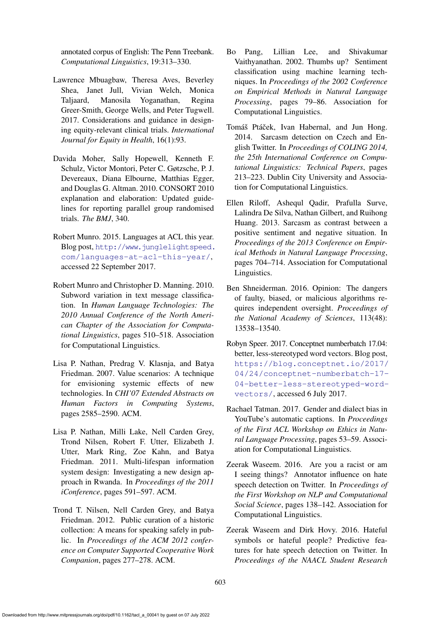annotated corpus of English: The Penn Treebank. *Computational Linguistics*, 19:313–330.

- <span id="page-16-1"></span>Lawrence Mbuagbaw, Theresa Aves, Beverley Shea, Janet Jull, Vivian Welch, Monica Taljaard, Manosila Yoganathan, Regina Greer-Smith, George Wells, and Peter Tugwell. 2017. Considerations and guidance in designing equity-relevant clinical trials. *International Journal for Equity in Health*, 16(1):93.
- <span id="page-16-0"></span>Davida Moher, Sally Hopewell, Kenneth F. Schulz, Victor Montori, Peter C. Gøtzsche, P. J. Devereaux, Diana Elbourne, Matthias Egger, and Douglas G. Altman. 2010. CONSORT 2010 explanation and elaboration: Updated guidelines for reporting parallel group randomised trials. *The BMJ*, 340.
- <span id="page-16-8"></span>Robert Munro. 2015. Languages at ACL this year. Blog post, [http://www.junglelightspeed.](http://www.junglelightspeed.com/languages-at-acl-this-year/) [com/languages-at-acl-this-year/](http://www.junglelightspeed.com/languages-at-acl-this-year/), accessed 22 September 2017.
- <span id="page-16-5"></span>Robert Munro and Christopher D. Manning. 2010. Subword variation in text message classification. In *Human Language Technologies: The 2010 Annual Conference of the North American Chapter of the Association for Computational Linguistics*, pages 510–518. Association for Computational Linguistics.
- <span id="page-16-13"></span>Lisa P. Nathan, Predrag V. Klasnja, and Batya Friedman. 2007. Value scenarios: A technique for envisioning systemic effects of new technologies. In *CHI'07 Extended Abstracts on Human Factors in Computing Systems*, pages 2585–2590. ACM.
- <span id="page-16-11"></span>Lisa P. Nathan, Milli Lake, Nell Carden Grey, Trond Nilsen, Robert F. Utter, Elizabeth J. Utter, Mark Ring, Zoe Kahn, and Batya Friedman. 2011. Multi-lifespan information system design: Investigating a new design approach in Rwanda. In *Proceedings of the 2011 iConference*, pages 591–597. ACM.
- <span id="page-16-12"></span>Trond T. Nilsen, Nell Carden Grey, and Batya Friedman. 2012. Public curation of a historic collection: A means for speaking safely in public. In *Proceedings of the ACM 2012 conference on Computer Supported Cooperative Work Companion*, pages 277–278. ACM.
- <span id="page-16-4"></span>Bo Pang, Lillian Lee, and Shivakumar Vaithyanathan. 2002. Thumbs up? Sentiment classification using machine learning techniques. In *Proceedings of the 2002 Conference on Empirical Methods in Natural Language Processing*, pages 79–86. Association for Computational Linguistics.
- <span id="page-16-3"></span>Tomáš Ptáček, Ivan Habernal, and Jun Hong. 2014. Sarcasm detection on Czech and English Twitter. In *Proceedings of COLING 2014, the 25th International Conference on Computational Linguistics: Technical Papers*, pages 213–223. Dublin City University and Association for Computational Linguistics.
- <span id="page-16-2"></span>Ellen Riloff, Ashequl Qadir, Prafulla Surve, Lalindra De Silva, Nathan Gilbert, and Ruihong Huang. 2013. Sarcasm as contrast between a positive sentiment and negative situation. In *Proceedings of the 2013 Conference on Empirical Methods in Natural Language Processing*, pages 704–714. Association for Computational Linguistics.
- <span id="page-16-14"></span>Ben Shneiderman. 2016. Opinion: The dangers of faulty, biased, or malicious algorithms requires independent oversight. *Proceedings of the National Academy of Sciences*, 113(48): 13538–13540.
- <span id="page-16-6"></span>Robyn Speer. 2017. Conceptnet numberbatch 17.04: better, less-stereotyped word vectors. Blog post, [https://blog.conceptnet.io/2017/](https://blog.conceptnet.io/2017/04/24/conceptnet-numberbatch-17-04-better-less-stereotyped-word-vectors/) [04/24/conceptnet-numberbatch-17-](https://blog.conceptnet.io/2017/04/24/conceptnet-numberbatch-17-04-better-less-stereotyped-word-vectors/) [04-better-less-stereotyped-word](https://blog.conceptnet.io/2017/04/24/conceptnet-numberbatch-17-04-better-less-stereotyped-word-vectors/)[vectors/](https://blog.conceptnet.io/2017/04/24/conceptnet-numberbatch-17-04-better-less-stereotyped-word-vectors/), accessed 6 July 2017.
- <span id="page-16-7"></span>Rachael Tatman. 2017. Gender and dialect bias in YouTube's automatic captions. In *Proceedings of the First ACL Workshop on Ethics in Natural Language Processing*, pages 53–59. Association for Computational Linguistics.
- <span id="page-16-10"></span>Zeerak Waseem. 2016. Are you a racist or am I seeing things? Annotator influence on hate speech detection on Twitter. In *Proceedings of the First Workshop on NLP and Computational Social Science*, pages 138–142. Association for Computational Linguistics.
- <span id="page-16-9"></span>Zeerak Waseem and Dirk Hovy. 2016. Hateful symbols or hateful people? Predictive features for hate speech detection on Twitter. In *Proceedings of the NAACL Student Research*